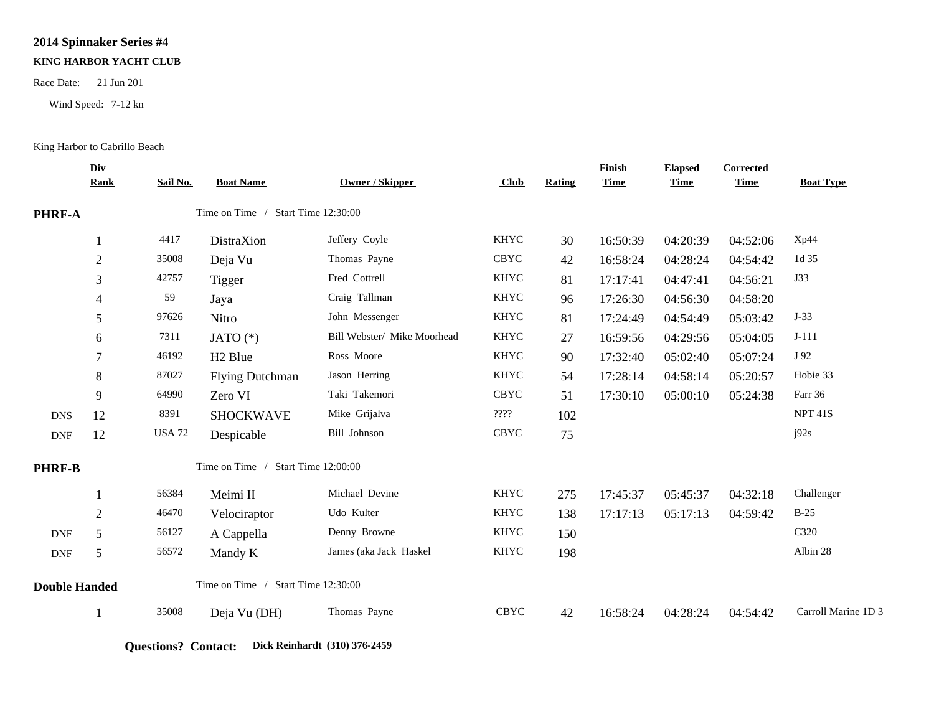## **2014 Spinnaker Series #4**

## **KING HARBOR YACHT CLUB**

Race Date: 21 Jun 201

Wind Speed: 7-12 kn

## King Harbor to Cabrillo Beach

|                      | Div<br><b>Rank</b> | Sail No.                           | <b>Boat Name</b>                   | Owner / Skipper             | Club        | <b>Rating</b> | Finish<br><b>Time</b> | <b>Elapsed</b><br><b>Time</b> | Corrected<br><b>Time</b> | <b>Boat Type</b>    |
|----------------------|--------------------|------------------------------------|------------------------------------|-----------------------------|-------------|---------------|-----------------------|-------------------------------|--------------------------|---------------------|
|                      |                    |                                    |                                    |                             |             |               |                       |                               |                          |                     |
| PHRF-A               |                    |                                    | Time on Time / Start Time 12:30:00 |                             |             |               |                       |                               |                          |                     |
|                      |                    | 4417                               | DistraXion                         | Jeffery Coyle               | <b>KHYC</b> | 30            | 16:50:39              | 04:20:39                      | 04:52:06                 | Xp44                |
|                      | $\overline{2}$     | 35008                              | Deja Vu                            | Thomas Payne                | <b>CBYC</b> | 42            | 16:58:24              | 04:28:24                      | 04:54:42                 | 1d 35               |
|                      | 3                  | 42757                              | Tigger                             | Fred Cottrell               | <b>KHYC</b> | 81            | 17:17:41              | 04:47:41                      | 04:56:21                 | J33                 |
|                      | 4                  | 59                                 | Jaya                               | Craig Tallman               | <b>KHYC</b> | 96            | 17:26:30              | 04:56:30                      | 04:58:20                 |                     |
|                      | 5                  | 97626                              | Nitro                              | John Messenger              | <b>KHYC</b> | 81            | 17:24:49              | 04:54:49                      | 05:03:42                 | $J-33$              |
|                      | 6                  | 7311                               | JATO $(*)$                         | Bill Webster/ Mike Moorhead | <b>KHYC</b> | 27            | 16:59:56              | 04:29:56                      | 05:04:05                 | $J-111$             |
|                      | 7                  | 46192                              | H <sub>2</sub> Blue                | Ross Moore                  | <b>KHYC</b> | 90            | 17:32:40              | 05:02:40                      | 05:07:24                 | J 92                |
|                      | 8                  | 87027                              | <b>Flying Dutchman</b>             | Jason Herring               | <b>KHYC</b> | 54            | 17:28:14              | 04:58:14                      | 05:20:57                 | Hobie 33            |
|                      | 9                  | 64990                              | Zero VI                            | Taki Takemori               | <b>CBYC</b> | 51            | 17:30:10              | 05:00:10                      | 05:24:38                 | Farr 36             |
| <b>DNS</b>           | 12                 | 8391                               | <b>SHOCKWAVE</b>                   | Mike Grijalva               | ????        | 102           |                       |                               |                          | <b>NPT 41S</b>      |
| DNF                  | 12                 | <b>USA 72</b>                      | Despicable                         | Bill Johnson                | <b>CBYC</b> | 75            |                       |                               |                          | j92s                |
| <b>PHRF-B</b>        |                    | Time on Time / Start Time 12:00:00 |                                    |                             |             |               |                       |                               |                          |                     |
|                      |                    | 56384                              | Meimi II                           | Michael Devine              | <b>KHYC</b> | 275           | 17:45:37              | 05:45:37                      | 04:32:18                 | Challenger          |
|                      | $\overline{2}$     | 46470                              | Velociraptor                       | Udo Kulter                  | <b>KHYC</b> | 138           | 17:17:13              | 05:17:13                      | 04:59:42                 | $B-25$              |
| <b>DNF</b>           | 5                  | 56127                              | A Cappella                         | Denny Browne                | <b>KHYC</b> | 150           |                       |                               |                          | C320                |
| <b>DNF</b>           | 5                  | 56572                              | Mandy K                            | James (aka Jack Haskel      | <b>KHYC</b> | 198           |                       |                               |                          | Albin 28            |
| <b>Double Handed</b> |                    | Time on Time / Start Time 12:30:00 |                                    |                             |             |               |                       |                               |                          |                     |
|                      | -1                 | 35008                              | Deja Vu (DH)                       | Thomas Payne                | <b>CBYC</b> | 42            | 16:58:24              | 04:28:24                      | 04:54:42                 | Carroll Marine 1D 3 |
|                      |                    |                                    |                                    |                             |             |               |                       |                               |                          |                     |

**Questions? Contact: Dick Reinhardt (310) 376-2459**